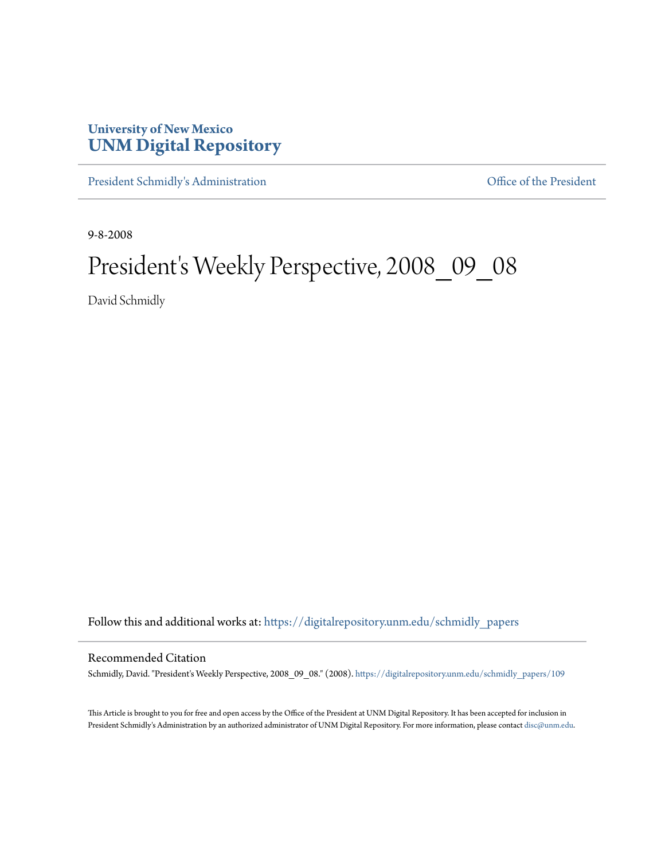## **University of New Mexico [UNM Digital Repository](https://digitalrepository.unm.edu?utm_source=digitalrepository.unm.edu%2Fschmidly_papers%2F109&utm_medium=PDF&utm_campaign=PDFCoverPages)**

[President Schmidly's Administration](https://digitalrepository.unm.edu/schmidly_papers?utm_source=digitalrepository.unm.edu%2Fschmidly_papers%2F109&utm_medium=PDF&utm_campaign=PDFCoverPages) [Office of the President](https://digitalrepository.unm.edu/ofc_president?utm_source=digitalrepository.unm.edu%2Fschmidly_papers%2F109&utm_medium=PDF&utm_campaign=PDFCoverPages)

9-8-2008

## President's Weekly Perspective, 2008\_09\_08

David Schmidly

Follow this and additional works at: [https://digitalrepository.unm.edu/schmidly\\_papers](https://digitalrepository.unm.edu/schmidly_papers?utm_source=digitalrepository.unm.edu%2Fschmidly_papers%2F109&utm_medium=PDF&utm_campaign=PDFCoverPages)

## Recommended Citation

Schmidly, David. "President's Weekly Perspective, 2008\_09\_08." (2008). [https://digitalrepository.unm.edu/schmidly\\_papers/109](https://digitalrepository.unm.edu/schmidly_papers/109?utm_source=digitalrepository.unm.edu%2Fschmidly_papers%2F109&utm_medium=PDF&utm_campaign=PDFCoverPages)

This Article is brought to you for free and open access by the Office of the President at UNM Digital Repository. It has been accepted for inclusion in President Schmidly's Administration by an authorized administrator of UNM Digital Repository. For more information, please contact [disc@unm.edu](mailto:disc@unm.edu).